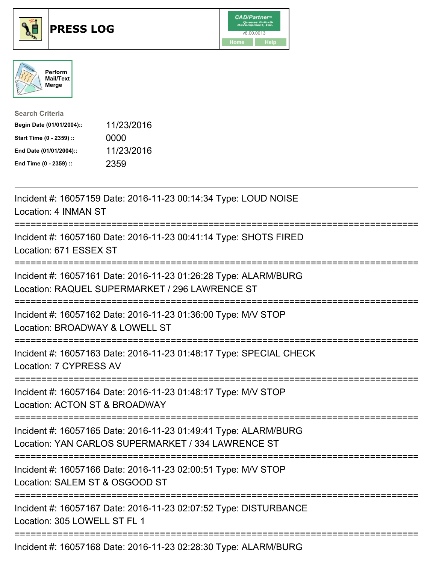





| <b>Search Criteria</b>    |            |
|---------------------------|------------|
| Begin Date (01/01/2004):: | 11/23/2016 |
| Start Time (0 - 2359) ::  | 0000       |
| End Date (01/01/2004)::   | 11/23/2016 |
| End Time (0 - 2359) ::    | 2359       |

| Incident #: 16057159 Date: 2016-11-23 00:14:34 Type: LOUD NOISE<br>Location: 4 INMAN ST                                                             |
|-----------------------------------------------------------------------------------------------------------------------------------------------------|
| Incident #: 16057160 Date: 2016-11-23 00:41:14 Type: SHOTS FIRED<br>Location: 671 ESSEX ST                                                          |
| Incident #: 16057161 Date: 2016-11-23 01:26:28 Type: ALARM/BURG<br>Location: RAQUEL SUPERMARKET / 296 LAWRENCE ST                                   |
| Incident #: 16057162 Date: 2016-11-23 01:36:00 Type: M/V STOP<br>Location: BROADWAY & LOWELL ST                                                     |
| Incident #: 16057163 Date: 2016-11-23 01:48:17 Type: SPECIAL CHECK<br>Location: 7 CYPRESS AV                                                        |
| Incident #: 16057164 Date: 2016-11-23 01:48:17 Type: M/V STOP<br>Location: ACTON ST & BROADWAY<br>---------                                         |
| Incident #: 16057165 Date: 2016-11-23 01:49:41 Type: ALARM/BURG<br>Location: YAN CARLOS SUPERMARKET / 334 LAWRENCE ST<br>-------------------------- |
| Incident #: 16057166 Date: 2016-11-23 02:00:51 Type: M/V STOP<br>Location: SALEM ST & OSGOOD ST<br>=========================<br>==============      |
| Incident #: 16057167 Date: 2016-11-23 02:07:52 Type: DISTURBANCE<br>Location: 305 LOWELL ST FL 1                                                    |
| Incident #: 16057168 Date: 2016-11-23 02:28:30 Type: ALARM/BURG                                                                                     |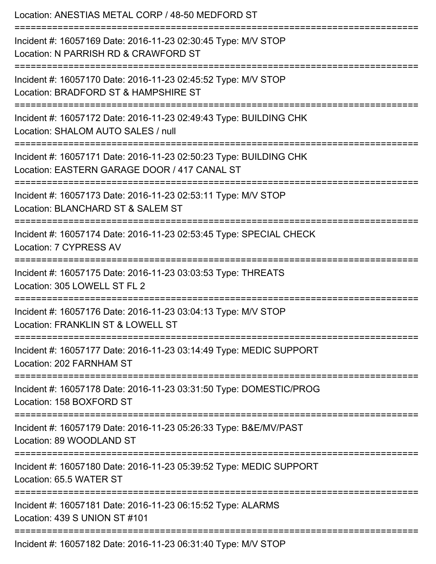| Location: ANESTIAS METAL CORP / 48-50 MEDFORD ST                                                                                  |
|-----------------------------------------------------------------------------------------------------------------------------------|
| Incident #: 16057169 Date: 2016-11-23 02:30:45 Type: M/V STOP<br>Location: N PARRISH RD & CRAWFORD ST<br>======================== |
| Incident #: 16057170 Date: 2016-11-23 02:45:52 Type: M/V STOP<br>Location: BRADFORD ST & HAMPSHIRE ST                             |
| Incident #: 16057172 Date: 2016-11-23 02:49:43 Type: BUILDING CHK<br>Location: SHALOM AUTO SALES / null<br>:===================== |
| Incident #: 16057171 Date: 2016-11-23 02:50:23 Type: BUILDING CHK<br>Location: EASTERN GARAGE DOOR / 417 CANAL ST                 |
| Incident #: 16057173 Date: 2016-11-23 02:53:11 Type: M/V STOP<br>Location: BLANCHARD ST & SALEM ST                                |
| Incident #: 16057174 Date: 2016-11-23 02:53:45 Type: SPECIAL CHECK<br>Location: 7 CYPRESS AV                                      |
| Incident #: 16057175 Date: 2016-11-23 03:03:53 Type: THREATS<br>Location: 305 LOWELL ST FL 2                                      |
| Incident #: 16057176 Date: 2016-11-23 03:04:13 Type: M/V STOP<br>Location: FRANKLIN ST & LOWELL ST                                |
| Incident #: 16057177 Date: 2016-11-23 03:14:49 Type: MEDIC SUPPORT<br>Location: 202 FARNHAM ST                                    |
| Incident #: 16057178 Date: 2016-11-23 03:31:50 Type: DOMESTIC/PROG<br>Location: 158 BOXFORD ST                                    |
| Incident #: 16057179 Date: 2016-11-23 05:26:33 Type: B&E/MV/PAST<br>Location: 89 WOODLAND ST                                      |
| Incident #: 16057180 Date: 2016-11-23 05:39:52 Type: MEDIC SUPPORT<br>Location: 65.5 WATER ST                                     |
| Incident #: 16057181 Date: 2016-11-23 06:15:52 Type: ALARMS<br>Location: 439 S UNION ST #101                                      |
| Incident #: 16057182 Date: 2016-11-23 06:31:40 Type: M/V STOP                                                                     |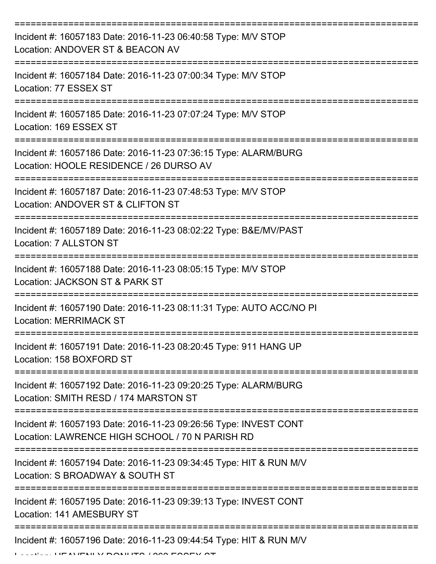| Incident #: 16057183 Date: 2016-11-23 06:40:58 Type: M/V STOP<br>Location: ANDOVER ST & BEACON AV                   |
|---------------------------------------------------------------------------------------------------------------------|
| Incident #: 16057184 Date: 2016-11-23 07:00:34 Type: M/V STOP<br>Location: 77 ESSEX ST                              |
| Incident #: 16057185 Date: 2016-11-23 07:07:24 Type: M/V STOP<br>Location: 169 ESSEX ST                             |
| Incident #: 16057186 Date: 2016-11-23 07:36:15 Type: ALARM/BURG<br>Location: HOOLE RESIDENCE / 26 DURSO AV          |
| Incident #: 16057187 Date: 2016-11-23 07:48:53 Type: M/V STOP<br>Location: ANDOVER ST & CLIFTON ST                  |
| Incident #: 16057189 Date: 2016-11-23 08:02:22 Type: B&E/MV/PAST<br>Location: 7 ALLSTON ST                          |
| Incident #: 16057188 Date: 2016-11-23 08:05:15 Type: M/V STOP<br>Location: JACKSON ST & PARK ST                     |
| Incident #: 16057190 Date: 2016-11-23 08:11:31 Type: AUTO ACC/NO PI<br><b>Location: MERRIMACK ST</b>                |
| Incident #: 16057191 Date: 2016-11-23 08:20:45 Type: 911 HANG UP<br>Location: 158 BOXFORD ST                        |
| Incident #: 16057192 Date: 2016-11-23 09:20:25 Type: ALARM/BURG<br>Location: SMITH RESD / 174 MARSTON ST            |
| Incident #: 16057193 Date: 2016-11-23 09:26:56 Type: INVEST CONT<br>Location: LAWRENCE HIGH SCHOOL / 70 N PARISH RD |
| Incident #: 16057194 Date: 2016-11-23 09:34:45 Type: HIT & RUN M/V<br>Location: S BROADWAY & SOUTH ST               |
| Incident #: 16057195 Date: 2016-11-23 09:39:13 Type: INVEST CONT<br>Location: 141 AMESBURY ST                       |
| Incident #: 16057196 Date: 2016-11-23 09:44:54 Type: HIT & RUN M/V                                                  |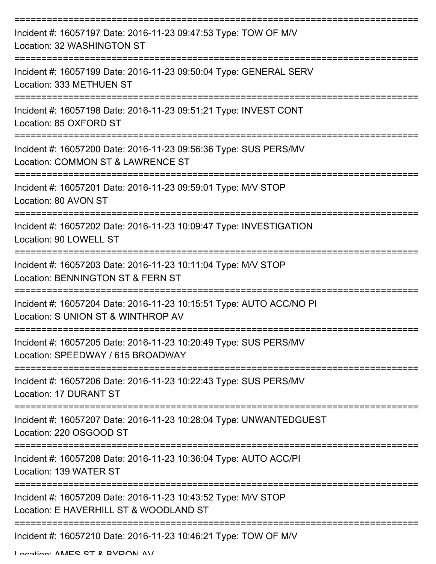| Incident #: 16057197 Date: 2016-11-23 09:47:53 Type: TOW OF M/V<br>Location: 32 WASHINGTON ST             |
|-----------------------------------------------------------------------------------------------------------|
| Incident #: 16057199 Date: 2016-11-23 09:50:04 Type: GENERAL SERV<br>Location: 333 METHUEN ST             |
| Incident #: 16057198 Date: 2016-11-23 09:51:21 Type: INVEST CONT<br>Location: 85 OXFORD ST                |
| Incident #: 16057200 Date: 2016-11-23 09:56:36 Type: SUS PERS/MV<br>Location: COMMON ST & LAWRENCE ST     |
| Incident #: 16057201 Date: 2016-11-23 09:59:01 Type: M/V STOP<br>Location: 80 AVON ST                     |
| Incident #: 16057202 Date: 2016-11-23 10:09:47 Type: INVESTIGATION<br>Location: 90 LOWELL ST              |
| Incident #: 16057203 Date: 2016-11-23 10:11:04 Type: M/V STOP<br>Location: BENNINGTON ST & FERN ST        |
| Incident #: 16057204 Date: 2016-11-23 10:15:51 Type: AUTO ACC/NO PI<br>Location: S UNION ST & WINTHROP AV |
| Incident #: 16057205 Date: 2016-11-23 10:20:49 Type: SUS PERS/MV<br>Location: SPEEDWAY / 615 BROADWAY     |
| Incident #: 16057206 Date: 2016-11-23 10:22:43 Type: SUS PERS/MV<br>Location: 17 DURANT ST                |
| Incident #: 16057207 Date: 2016-11-23 10:28:04 Type: UNWANTEDGUEST<br>Location: 220 OSGOOD ST             |
| Incident #: 16057208 Date: 2016-11-23 10:36:04 Type: AUTO ACC/PI<br>Location: 139 WATER ST                |
| Incident #: 16057209 Date: 2016-11-23 10:43:52 Type: M/V STOP<br>Location: E HAVERHILL ST & WOODLAND ST   |
| Incident #: 16057210 Date: 2016-11-23 10:46:21 Type: TOW OF M/V                                           |

Location: AMES ST & BVDONI AV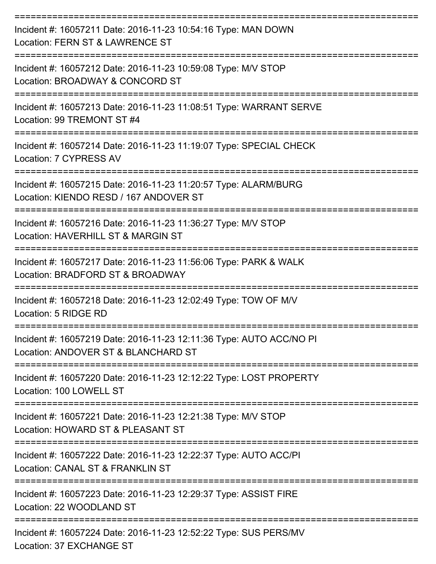| Incident #: 16057211 Date: 2016-11-23 10:54:16 Type: MAN DOWN<br>Location: FERN ST & LAWRENCE ST           |
|------------------------------------------------------------------------------------------------------------|
| Incident #: 16057212 Date: 2016-11-23 10:59:08 Type: M/V STOP<br>Location: BROADWAY & CONCORD ST           |
| Incident #: 16057213 Date: 2016-11-23 11:08:51 Type: WARRANT SERVE<br>Location: 99 TREMONT ST #4           |
| Incident #: 16057214 Date: 2016-11-23 11:19:07 Type: SPECIAL CHECK<br>Location: 7 CYPRESS AV               |
| Incident #: 16057215 Date: 2016-11-23 11:20:57 Type: ALARM/BURG<br>Location: KIENDO RESD / 167 ANDOVER ST  |
| Incident #: 16057216 Date: 2016-11-23 11:36:27 Type: M/V STOP<br>Location: HAVERHILL ST & MARGIN ST        |
| Incident #: 16057217 Date: 2016-11-23 11:56:06 Type: PARK & WALK<br>Location: BRADFORD ST & BROADWAY       |
| Incident #: 16057218 Date: 2016-11-23 12:02:49 Type: TOW OF M/V<br>Location: 5 RIDGE RD                    |
| Incident #: 16057219 Date: 2016-11-23 12:11:36 Type: AUTO ACC/NO PI<br>Location: ANDOVER ST & BLANCHARD ST |
| Incident #: 16057220 Date: 2016-11-23 12:12:22 Type: LOST PROPERTY<br>Location: 100 LOWELL ST              |
| Incident #: 16057221 Date: 2016-11-23 12:21:38 Type: M/V STOP<br>Location: HOWARD ST & PLEASANT ST         |
| Incident #: 16057222 Date: 2016-11-23 12:22:37 Type: AUTO ACC/PI<br>Location: CANAL ST & FRANKLIN ST       |
| Incident #: 16057223 Date: 2016-11-23 12:29:37 Type: ASSIST FIRE<br>Location: 22 WOODLAND ST               |
| Incident #: 16057224 Date: 2016-11-23 12:52:22 Type: SUS PERS/MV<br>Location: 37 EXCHANGE ST               |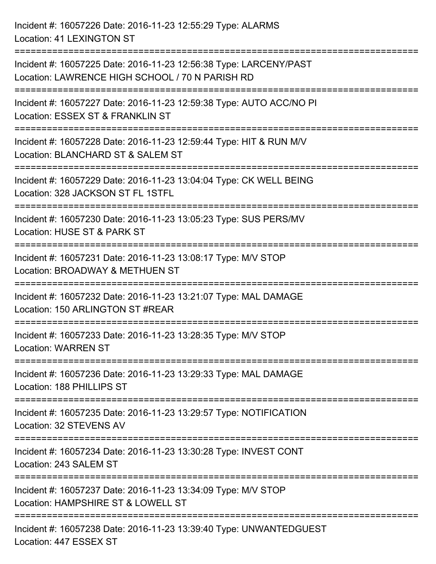Incident #: 16057226 Date: 2016-11-23 12:55:29 Type: ALARMS Location: 41 LEXINGTON ST =========================================================================== Incident #: 16057225 Date: 2016-11-23 12:56:38 Type: LARCENY/PAST Location: LAWRENCE HIGH SCHOOL / 70 N PARISH RD =========================================================================== Incident #: 16057227 Date: 2016-11-23 12:59:38 Type: AUTO ACC/NO PI Location: ESSEX ST & FRANKLIN ST =========================================================================== Incident #: 16057228 Date: 2016-11-23 12:59:44 Type: HIT & RUN M/V Location: BLANCHARD ST & SALEM ST =========================================================================== Incident #: 16057229 Date: 2016-11-23 13:04:04 Type: CK WELL BEING Location: 328 JACKSON ST FL 1STFL =========================================================================== Incident #: 16057230 Date: 2016-11-23 13:05:23 Type: SUS PERS/MV Location: HUSE ST & PARK ST =========================================================================== Incident #: 16057231 Date: 2016-11-23 13:08:17 Type: M/V STOP Location: BROADWAY & METHUEN ST =========================================================================== Incident #: 16057232 Date: 2016-11-23 13:21:07 Type: MAL DAMAGE Location: 150 ARLINGTON ST #REAR =========================================================================== Incident #: 16057233 Date: 2016-11-23 13:28:35 Type: M/V STOP Location: WARREN ST =========================================================================== Incident #: 16057236 Date: 2016-11-23 13:29:33 Type: MAL DAMAGE Location: 188 PHILLIPS ST =========================================================================== Incident #: 16057235 Date: 2016-11-23 13:29:57 Type: NOTIFICATION Location: 32 STEVENS AV =========================================================================== Incident #: 16057234 Date: 2016-11-23 13:30:28 Type: INVEST CONT Location: 243 SALEM ST =========================================================================== Incident #: 16057237 Date: 2016-11-23 13:34:09 Type: M/V STOP Location: HAMPSHIRE ST & LOWELL ST =========================================================================== Incident #: 16057238 Date: 2016-11-23 13:39:40 Type: UNWANTEDGUEST Location: 447 ESSEX ST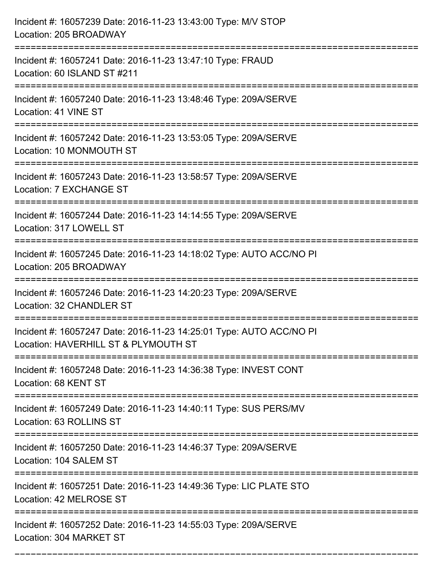| Incident #: 16057239 Date: 2016-11-23 13:43:00 Type: M/V STOP<br>Location: 205 BROADWAY                     |
|-------------------------------------------------------------------------------------------------------------|
| Incident #: 16057241 Date: 2016-11-23 13:47:10 Type: FRAUD<br>Location: 60 ISLAND ST #211                   |
| Incident #: 16057240 Date: 2016-11-23 13:48:46 Type: 209A/SERVE<br>Location: 41 VINE ST                     |
| Incident #: 16057242 Date: 2016-11-23 13:53:05 Type: 209A/SERVE<br>Location: 10 MONMOUTH ST                 |
| Incident #: 16057243 Date: 2016-11-23 13:58:57 Type: 209A/SERVE<br>Location: 7 EXCHANGE ST                  |
| Incident #: 16057244 Date: 2016-11-23 14:14:55 Type: 209A/SERVE<br>Location: 317 LOWELL ST                  |
| Incident #: 16057245 Date: 2016-11-23 14:18:02 Type: AUTO ACC/NO PI<br>Location: 205 BROADWAY               |
| Incident #: 16057246 Date: 2016-11-23 14:20:23 Type: 209A/SERVE<br>Location: 32 CHANDLER ST                 |
| Incident #: 16057247 Date: 2016-11-23 14:25:01 Type: AUTO ACC/NO PI<br>Location: HAVERHILL ST & PLYMOUTH ST |
| Incident #: 16057248 Date: 2016-11-23 14:36:38 Type: INVEST CONT<br>Location: 68 KENT ST                    |
| Incident #: 16057249 Date: 2016-11-23 14:40:11 Type: SUS PERS/MV<br>Location: 63 ROLLINS ST                 |
| Incident #: 16057250 Date: 2016-11-23 14:46:37 Type: 209A/SERVE<br>Location: 104 SALEM ST                   |
| Incident #: 16057251 Date: 2016-11-23 14:49:36 Type: LIC PLATE STO<br>Location: 42 MELROSE ST               |
| Incident #: 16057252 Date: 2016-11-23 14:55:03 Type: 209A/SERVE<br>Location: 304 MARKET ST                  |

===========================================================================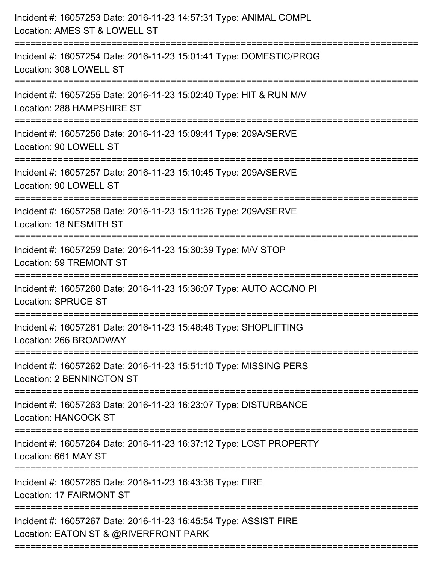| Incident #: 16057253 Date: 2016-11-23 14:57:31 Type: ANIMAL COMPL<br>Location: AMES ST & LOWELL ST<br>======================          |
|---------------------------------------------------------------------------------------------------------------------------------------|
| Incident #: 16057254 Date: 2016-11-23 15:01:41 Type: DOMESTIC/PROG<br>Location: 308 LOWELL ST                                         |
| Incident #: 16057255 Date: 2016-11-23 15:02:40 Type: HIT & RUN M/V<br>Location: 288 HAMPSHIRE ST<br>:================================ |
| Incident #: 16057256 Date: 2016-11-23 15:09:41 Type: 209A/SERVE<br>Location: 90 LOWELL ST                                             |
| Incident #: 16057257 Date: 2016-11-23 15:10:45 Type: 209A/SERVE<br>Location: 90 LOWELL ST<br>------------------------                 |
| Incident #: 16057258 Date: 2016-11-23 15:11:26 Type: 209A/SERVE<br>Location: 18 NESMITH ST                                            |
| Incident #: 16057259 Date: 2016-11-23 15:30:39 Type: M/V STOP<br>Location: 59 TREMONT ST                                              |
| Incident #: 16057260 Date: 2016-11-23 15:36:07 Type: AUTO ACC/NO PI<br><b>Location: SPRUCE ST</b>                                     |
| Incident #: 16057261 Date: 2016-11-23 15:48:48 Type: SHOPLIFTING<br>Location: 266 BROADWAY                                            |
| Incident #: 16057262 Date: 2016-11-23 15:51:10 Type: MISSING PERS<br><b>Location: 2 BENNINGTON ST</b>                                 |
| Incident #: 16057263 Date: 2016-11-23 16:23:07 Type: DISTURBANCE<br><b>Location: HANCOCK ST</b>                                       |
| Incident #: 16057264 Date: 2016-11-23 16:37:12 Type: LOST PROPERTY<br>Location: 661 MAY ST                                            |
| Incident #: 16057265 Date: 2016-11-23 16:43:38 Type: FIRE<br><b>Location: 17 FAIRMONT ST</b>                                          |
| Incident #: 16057267 Date: 2016-11-23 16:45:54 Type: ASSIST FIRE<br>Location: EATON ST & @RIVERFRONT PARK                             |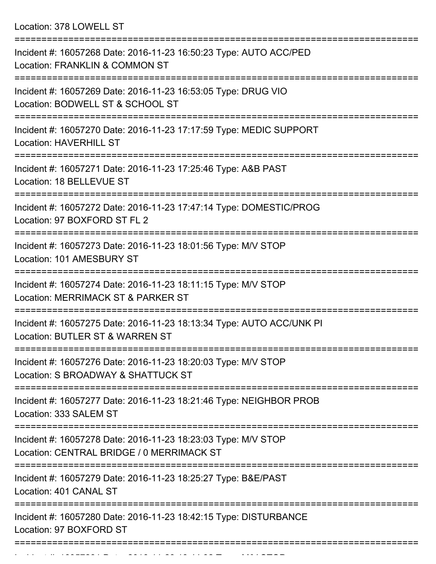Location: 378 LOWELL ST

| Incident #: 16057268 Date: 2016-11-23 16:50:23 Type: AUTO ACC/PED<br>Location: FRANKLIN & COMMON ST                    |
|------------------------------------------------------------------------------------------------------------------------|
| Incident #: 16057269 Date: 2016-11-23 16:53:05 Type: DRUG VIO<br>Location: BODWELL ST & SCHOOL ST                      |
| Incident #: 16057270 Date: 2016-11-23 17:17:59 Type: MEDIC SUPPORT<br><b>Location: HAVERHILL ST</b>                    |
| Incident #: 16057271 Date: 2016-11-23 17:25:46 Type: A&B PAST<br>Location: 18 BELLEVUE ST                              |
| Incident #: 16057272 Date: 2016-11-23 17:47:14 Type: DOMESTIC/PROG<br>Location: 97 BOXFORD ST FL 2                     |
| Incident #: 16057273 Date: 2016-11-23 18:01:56 Type: M/V STOP<br>Location: 101 AMESBURY ST                             |
| Incident #: 16057274 Date: 2016-11-23 18:11:15 Type: M/V STOP<br>Location: MERRIMACK ST & PARKER ST                    |
| Incident #: 16057275 Date: 2016-11-23 18:13:34 Type: AUTO ACC/UNK PI<br><b>Location: BUTLER ST &amp; WARREN ST</b>     |
| Incident #: 16057276 Date: 2016-11-23 18:20:03 Type: M/V STOP<br>Location: S BROADWAY & SHATTUCK ST                    |
| Incident #: 16057277 Date: 2016-11-23 18:21:46 Type: NEIGHBOR PROB<br>Location: 333 SALEM ST                           |
| Incident #: 16057278 Date: 2016-11-23 18:23:03 Type: M/V STOP<br>Location: CENTRAL BRIDGE / 0 MERRIMACK ST             |
| Incident #: 16057279 Date: 2016-11-23 18:25:27 Type: B&E/PAST<br>Location: 401 CANAL ST                                |
| Incident #: 16057280 Date: 2016-11-23 18:42:15 Type: DISTURBANCE<br>Location: 97 BOXFORD ST<br>======================= |
|                                                                                                                        |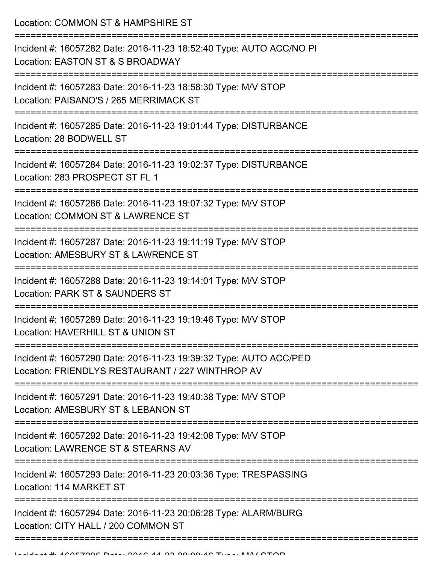Location: COMMON ST & HAMPSHIRE ST

| Incident #: 16057282 Date: 2016-11-23 18:52:40 Type: AUTO ACC/NO PI<br>Location: EASTON ST & S BROADWAY               |
|-----------------------------------------------------------------------------------------------------------------------|
| Incident #: 16057283 Date: 2016-11-23 18:58:30 Type: M/V STOP<br>Location: PAISANO'S / 265 MERRIMACK ST               |
| Incident #: 16057285 Date: 2016-11-23 19:01:44 Type: DISTURBANCE<br>Location: 28 BODWELL ST                           |
| Incident #: 16057284 Date: 2016-11-23 19:02:37 Type: DISTURBANCE<br>Location: 283 PROSPECT ST FL 1                    |
| Incident #: 16057286 Date: 2016-11-23 19:07:32 Type: M/V STOP<br>Location: COMMON ST & LAWRENCE ST                    |
| Incident #: 16057287 Date: 2016-11-23 19:11:19 Type: M/V STOP<br>Location: AMESBURY ST & LAWRENCE ST                  |
| Incident #: 16057288 Date: 2016-11-23 19:14:01 Type: M/V STOP<br>Location: PARK ST & SAUNDERS ST                      |
| Incident #: 16057289 Date: 2016-11-23 19:19:46 Type: M/V STOP<br>Location: HAVERHILL ST & UNION ST                    |
| Incident #: 16057290 Date: 2016-11-23 19:39:32 Type: AUTO ACC/PED<br>Location: FRIENDLYS RESTAURANT / 227 WINTHROP AV |
| Incident #: 16057291 Date: 2016-11-23 19:40:38 Type: M/V STOP<br>Location: AMESBURY ST & LEBANON ST                   |
| Incident #: 16057292 Date: 2016-11-23 19:42:08 Type: M/V STOP<br>Location: LAWRENCE ST & STEARNS AV                   |
| Incident #: 16057293 Date: 2016-11-23 20:03:36 Type: TRESPASSING<br>Location: 114 MARKET ST                           |
| Incident #: 16057294 Date: 2016-11-23 20:06:28 Type: ALARM/BURG<br>Location: CITY HALL / 200 COMMON ST                |
|                                                                                                                       |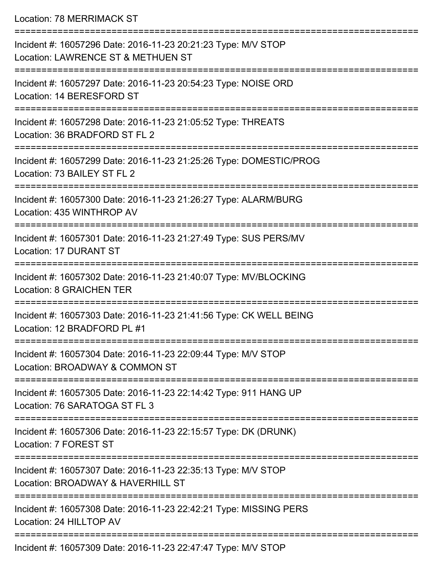Location: 78 MERRIMACK ST

| Incident #: 16057296 Date: 2016-11-23 20:21:23 Type: M/V STOP<br>Location: LAWRENCE ST & METHUEN ST |
|-----------------------------------------------------------------------------------------------------|
| Incident #: 16057297 Date: 2016-11-23 20:54:23 Type: NOISE ORD<br>Location: 14 BERESFORD ST         |
| Incident #: 16057298 Date: 2016-11-23 21:05:52 Type: THREATS<br>Location: 36 BRADFORD ST FL 2       |
| Incident #: 16057299 Date: 2016-11-23 21:25:26 Type: DOMESTIC/PROG<br>Location: 73 BAILEY ST FL 2   |
| Incident #: 16057300 Date: 2016-11-23 21:26:27 Type: ALARM/BURG<br>Location: 435 WINTHROP AV        |
| Incident #: 16057301 Date: 2016-11-23 21:27:49 Type: SUS PERS/MV<br>Location: 17 DURANT ST          |
| Incident #: 16057302 Date: 2016-11-23 21:40:07 Type: MV/BLOCKING<br><b>Location: 8 GRAICHEN TER</b> |
| Incident #: 16057303 Date: 2016-11-23 21:41:56 Type: CK WELL BEING<br>Location: 12 BRADFORD PL #1   |
| Incident #: 16057304 Date: 2016-11-23 22:09:44 Type: M/V STOP<br>Location: BROADWAY & COMMON ST     |
| Incident #: 16057305 Date: 2016-11-23 22:14:42 Type: 911 HANG UP<br>Location: 76 SARATOGA ST FL 3   |
| Incident #: 16057306 Date: 2016-11-23 22:15:57 Type: DK (DRUNK)<br>Location: 7 FOREST ST            |
| Incident #: 16057307 Date: 2016-11-23 22:35:13 Type: M/V STOP<br>Location: BROADWAY & HAVERHILL ST  |
| Incident #: 16057308 Date: 2016-11-23 22:42:21 Type: MISSING PERS<br>Location: 24 HILLTOP AV        |
| Incident #: 16057309 Date: 2016-11-23 22:47:47 Type: M/V STOP                                       |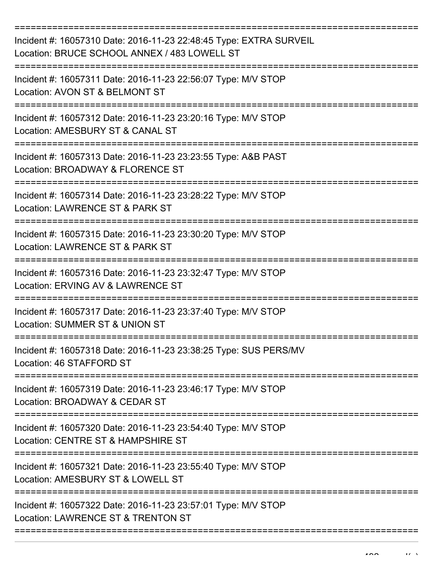| Incident #: 16057310 Date: 2016-11-23 22:48:45 Type: EXTRA SURVEIL<br>Location: BRUCE SCHOOL ANNEX / 483 LOWELL ST |
|--------------------------------------------------------------------------------------------------------------------|
| Incident #: 16057311 Date: 2016-11-23 22:56:07 Type: M/V STOP<br>Location: AVON ST & BELMONT ST                    |
| Incident #: 16057312 Date: 2016-11-23 23:20:16 Type: M/V STOP<br>Location: AMESBURY ST & CANAL ST                  |
| Incident #: 16057313 Date: 2016-11-23 23:23:55 Type: A&B PAST<br>Location: BROADWAY & FLORENCE ST                  |
| Incident #: 16057314 Date: 2016-11-23 23:28:22 Type: M/V STOP<br>Location: LAWRENCE ST & PARK ST                   |
| Incident #: 16057315 Date: 2016-11-23 23:30:20 Type: M/V STOP<br>Location: LAWRENCE ST & PARK ST                   |
| Incident #: 16057316 Date: 2016-11-23 23:32:47 Type: M/V STOP<br>Location: ERVING AV & LAWRENCE ST                 |
| Incident #: 16057317 Date: 2016-11-23 23:37:40 Type: M/V STOP<br>Location: SUMMER ST & UNION ST                    |
| Incident #: 16057318 Date: 2016-11-23 23:38:25 Type: SUS PERS/MV<br>Location: 46 STAFFORD ST                       |
| Incident #: 16057319 Date: 2016-11-23 23:46:17 Type: M/V STOP<br>Location: BROADWAY & CEDAR ST                     |
| Incident #: 16057320 Date: 2016-11-23 23:54:40 Type: M/V STOP<br>Location: CENTRE ST & HAMPSHIRE ST                |
| Incident #: 16057321 Date: 2016-11-23 23:55:40 Type: M/V STOP<br>Location: AMESBURY ST & LOWELL ST                 |
| Incident #: 16057322 Date: 2016-11-23 23:57:01 Type: M/V STOP<br>Location: LAWRENCE ST & TRENTON ST                |
|                                                                                                                    |